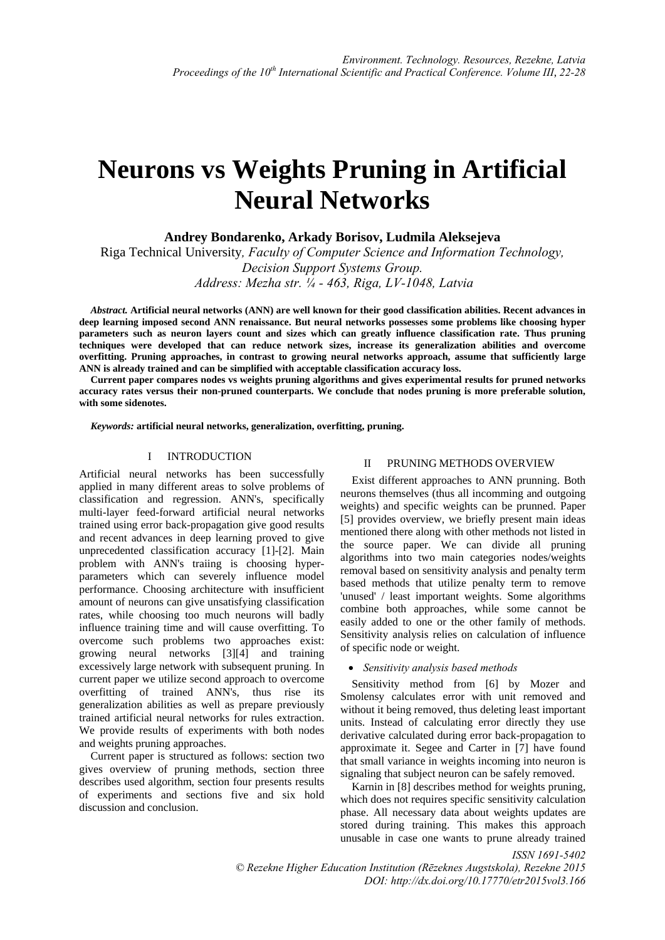# **Neurons vs Weights Pruning in Artificial Neural Networks**

**Andrey Bondarenko, Arkady Borisov, Ludmila Aleksejeva**

Riga Technical University*, Faculty of Computer Science and Information Technology, Decision Support Systems Group. Address: Mezha str. ¼ - 463, Riga, LV-1048, Latvia* 

*Abstract.* **Artificial neural networks (ANN) are well known for their good classification abilities. Recent advances in deep learning imposed second ANN renaissance. But neural networks possesses some problems like choosing hyper parameters such as neuron layers count and sizes which can greatly influence classification rate. Thus pruning techniques were developed that can reduce network sizes, increase its generalization abilities and overcome overfitting. Pruning approaches, in contrast to growing neural networks approach, assume that sufficiently large ANN is already trained and can be simplified with acceptable classification accuracy loss.** 

**Current paper compares nodes vs weights pruning algorithms and gives experimental results for pruned networks accuracy rates versus their non-pruned counterparts. We conclude that nodes pruning is more preferable solution, with some sidenotes.** 

*Keywords:* **artificial neural networks, generalization, overfitting, pruning.**

### I INTRODUCTION

Artificial neural networks has been successfully applied in many different areas to solve problems of classification and regression. ANN's, specifically multi-layer feed-forward artificial neural networks trained using error back-propagation give good results and recent advances in deep learning proved to give unprecedented classification accuracy [1]-[2]. Main problem with ANN's traiing is choosing hyperparameters which can severely influence model performance. Choosing architecture with insufficient amount of neurons can give unsatisfying classification rates, while choosing too much neurons will badly influence training time and will cause overfitting. To overcome such problems two approaches exist: growing neural networks [3][4] and training excessively large network with subsequent pruning*.* In current paper we utilize second approach to overcome overfitting of trained ANN's, thus rise its generalization abilities as well as prepare previously trained artificial neural networks for rules extraction. We provide results of experiments with both nodes and weights pruning approaches.

Current paper is structured as follows: section two gives overview of pruning methods, section three describes used algorithm, section four presents results of experiments and sections five and six hold discussion and conclusion.

## II PRUNING METHODS OVERVIEW

Exist different approaches to ANN prunning. Both neurons themselves (thus all incomming and outgoing weights) and specific weights can be prunned. Paper [5] provides overview, we briefly present main ideas mentioned there along with other methods not listed in the source paper. We can divide all pruning algorithms into two main categories nodes/weights removal based on sensitivity analysis and penalty term based methods that utilize penalty term to remove 'unused' / least important weights. Some algorithms combine both approaches, while some cannot be easily added to one or the other family of methods. Sensitivity analysis relies on calculation of influence of specific node or weight.

## *Sensitivity analysis based methods*

Sensitivity method from [6] by Mozer and Smolensy calculates error with unit removed and without it being removed, thus deleting least important units. Instead of calculating error directly they use derivative calculated during error back-propagation to approximate it. Segee and Carter in [7] have found that small variance in weights incoming into neuron is signaling that subject neuron can be safely removed.

Karnin in [8] describes method for weights pruning, which does not requires specific sensitivity calculation phase. All necessary data about weights updates are stored during training. This makes this approach unusable in case one wants to prune already trained

*ISSN 1691-5402 © Rezekne Higher Education Institution (Rēzeknes Augstskola), Rezekne 2015 DOI: http://dx.doi.org/10.17770/etr2015vol3.166*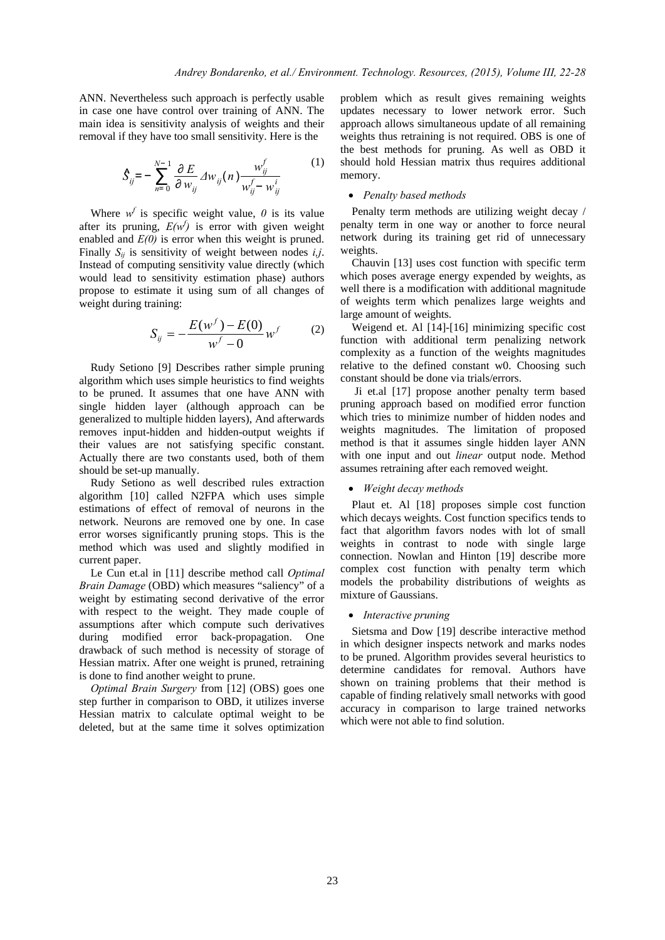ANN. Nevertheless such approach is perfectly usable in case one have control over training of ANN. The main idea is sensitivity analysis of weights and their removal if they have too small sensitivity. Here is the

$$
\hat{S}_{ij} = -\sum_{n=0}^{N-1} \frac{\partial E}{\partial w_{ij}} \Delta w_{ij}(n) \frac{w_{ij}^f}{w_{ij}^f - w_{ij}^i} \tag{1}
$$

Where  $w^f$  is specific weight value,  $\theta$  is its value after its pruning,  $E(w^f)$  is error with given weight enabled and *E(0)* is error when this weight is pruned. Finally  $S_{ij}$  is sensitivity of weight between nodes *i,j*. Instead of computing sensitivity value directly (which would lead to sensitivity estimation phase) authors propose to estimate it using sum of all changes of weight during training:

$$
S_{ij} = -\frac{E(w^f) - E(0)}{w^f - 0} w^f \tag{2}
$$

Rudy Setiono [9] Describes rather simple pruning algorithm which uses simple heuristics to find weights to be pruned. It assumes that one have ANN with single hidden layer (although approach can be generalized to multiple hidden layers), And afterwards removes input-hidden and hidden-output weights if their values are not satisfying specific constant. Actually there are two constants used, both of them should be set-up manually.

Rudy Setiono as well described rules extraction algorithm [10] called N2FPA which uses simple estimations of effect of removal of neurons in the network. Neurons are removed one by one. In case error worses significantly pruning stops. This is the method which was used and slightly modified in current paper.

Le Cun et.al in [11] describe method call *Optimal Brain Damage* (OBD) which measures "saliency" of a weight by estimating second derivative of the error with respect to the weight. They made couple of assumptions after which compute such derivatives during modified error back-propagation. One drawback of such method is necessity of storage of Hessian matrix. After one weight is pruned, retraining is done to find another weight to prune.

*Optimal Brain Surgery* from [12] (OBS) goes one step further in comparison to OBD, it utilizes inverse Hessian matrix to calculate optimal weight to be deleted, but at the same time it solves optimization problem which as result gives remaining weights updates necessary to lower network error. Such approach allows simultaneous update of all remaining weights thus retraining is not required. OBS is one of the best methods for pruning. As well as OBD it should hold Hessian matrix thus requires additional memory.

## *Penalty based methods*

Penalty term methods are utilizing weight decay / penalty term in one way or another to force neural network during its training get rid of unnecessary weights.

Chauvin [13] uses cost function with specific term which poses average energy expended by weights, as well there is a modification with additional magnitude of weights term which penalizes large weights and large amount of weights.

Weigend et. Al [14]-[16] minimizing specific cost function with additional term penalizing network complexity as a function of the weights magnitudes relative to the defined constant w0. Choosing such constant should be done via trials/errors.

 Ji et.al [17] propose another penalty term based pruning approach based on modified error function which tries to minimize number of hidden nodes and weights magnitudes. The limitation of proposed method is that it assumes single hidden layer ANN with one input and out *linear* output node. Method assumes retraining after each removed weight.

#### *Weight decay methods*

Plaut et. Al [18] proposes simple cost function which decays weights. Cost function specifics tends to fact that algorithm favors nodes with lot of small weights in contrast to node with single large connection. Nowlan and Hinton [19] describe more complex cost function with penalty term which models the probability distributions of weights as mixture of Gaussians.

## *Interactive pruning*

Sietsma and Dow [19] describe interactive method in which designer inspects network and marks nodes to be pruned. Algorithm provides several heuristics to determine candidates for removal. Authors have shown on training problems that their method is capable of finding relatively small networks with good accuracy in comparison to large trained networks which were not able to find solution.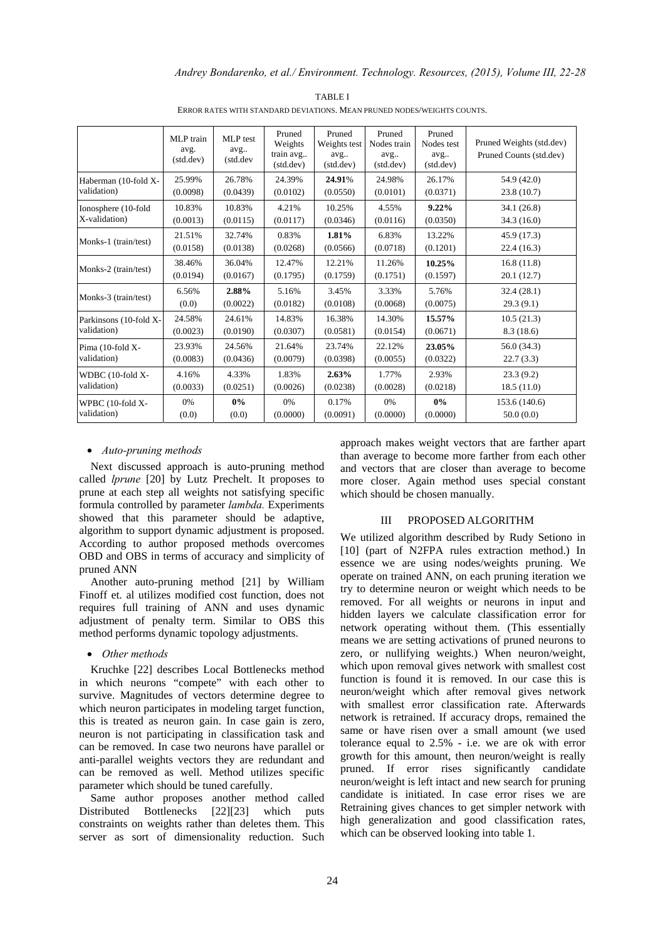|                        | MLP train<br>avg.<br>(stat. dev) | MLP test<br>avg<br>(std.dev | Pruned<br>Weights<br>train avg<br>(stat. dev) | Pruned<br>Weights test<br>avg<br>(stat. dev) | Pruned<br>Nodes train<br>avg<br>(stat. dev) | Pruned<br>Nodes test<br>avg<br>(stat. dev) | Pruned Weights (std.dev)<br>Pruned Counts (std.dev) |
|------------------------|----------------------------------|-----------------------------|-----------------------------------------------|----------------------------------------------|---------------------------------------------|--------------------------------------------|-----------------------------------------------------|
| Haberman (10-fold X-   | 25.99%                           | 26.78%                      | 24.39%                                        | 24.91%                                       | 24.98%                                      | 26.17%                                     | 54.9 (42.0)                                         |
| validation)            | (0.0098)                         | (0.0439)                    | (0.0102)                                      | (0.0550)                                     | (0.0101)                                    | (0.0371)                                   | 23.8(10.7)                                          |
| Ionosphere (10-fold    | 10.83%                           | 10.83%                      | 4.21%                                         | 10.25%                                       | 4.55%                                       | $9.22\%$                                   | 34.1(26.8)                                          |
| X-validation)          | (0.0013)                         | (0.0115)                    | (0.0117)                                      | (0.0346)                                     | (0.0116)                                    | (0.0350)                                   | 34.3(16.0)                                          |
| Monks-1 (train/test)   | 21.51%                           | 32.74%                      | 0.83%                                         | 1.81%                                        | 6.83%                                       | 13.22%                                     | 45.9 (17.3)                                         |
|                        | (0.0158)                         | (0.0138)                    | (0.0268)                                      | (0.0566)                                     | (0.0718)                                    | (0.1201)                                   | 22.4(16.3)                                          |
| Monks-2 (train/test)   | 38.46%                           | 36.04%                      | 12.47%                                        | 12.21%                                       | 11.26%                                      | 10.25%                                     | 16.8(11.8)                                          |
|                        | (0.0194)                         | (0.0167)                    | (0.1795)                                      | (0.1759)                                     | (0.1751)                                    | (0.1597)                                   | 20.1 (12.7)                                         |
| Monks-3 (train/test)   | 6.56%                            | 2.88%                       | 5.16%                                         | 3.45%                                        | 3.33%                                       | 5.76%                                      | 32.4(28.1)                                          |
|                        | (0.0)                            | (0.0022)                    | (0.0182)                                      | (0.0108)                                     | (0.0068)                                    | (0.0075)                                   | 29.3(9.1)                                           |
| Parkinsons (10-fold X- | 24.58%                           | 24.61%                      | 14.83%                                        | 16.38%                                       | 14.30%                                      | 15.57%                                     | 10.5(21.3)                                          |
| validation)            | (0.0023)                         | (0.0190)                    | (0.0307)                                      | (0.0581)                                     | (0.0154)                                    | (0.0671)                                   | 8.3(18.6)                                           |
| Pima (10-fold X-       | 23.93%                           | 24.56%                      | 21.64%                                        | 23.74%                                       | 22.12%                                      | 23.05%                                     | 56.0(34.3)                                          |
| validation)            | (0.0083)                         | (0.0436)                    | (0.0079)                                      | (0.0398)                                     | (0.0055)                                    | (0.0322)                                   | 22.7(3.3)                                           |
| WDBC (10-fold X-       | 4.16%                            | 4.33%                       | 1.83%                                         | 2.63%                                        | 1.77%                                       | 2.93%                                      | 23.3(9.2)                                           |
| validation)            | (0.0033)                         | (0.0251)                    | (0.0026)                                      | (0.0238)                                     | (0.0028)                                    | (0.0218)                                   | 18.5(11.0)                                          |
| WPBC (10-fold X-       | 0%                               | $0\%$                       | 0%                                            | 0.17%                                        | 0%                                          | $0\%$                                      | 153.6 (140.6)                                       |
| validation)            | (0.0)                            | (0.0)                       | (0.0000)                                      | (0.0091)                                     | (0.0000)                                    | (0.0000)                                   | 50.0(0.0)                                           |

TABLE I ERROR RATES WITH STANDARD DEVIATIONS. MEAN PRUNED NODES/WEIGHTS COUNTS.

## *Auto-pruning methods*

Next discussed approach is auto-pruning method called *lprune* [20] by Lutz Prechelt. It proposes to prune at each step all weights not satisfying specific formula controlled by parameter *lambda.* Experiments showed that this parameter should be adaptive, algorithm to support dynamic adjustment is proposed. According to author proposed methods overcomes OBD and OBS in terms of accuracy and simplicity of pruned ANN

Another auto-pruning method [21] by William Finoff et. al utilizes modified cost function, does not requires full training of ANN and uses dynamic adjustment of penalty term. Similar to OBS this method performs dynamic topology adjustments.

#### *Other methods*

Kruchke [22] describes Local Bottlenecks method in which neurons "compete" with each other to survive. Magnitudes of vectors determine degree to which neuron participates in modeling target function, this is treated as neuron gain. In case gain is zero, neuron is not participating in classification task and can be removed. In case two neurons have parallel or anti-parallel weights vectors they are redundant and can be removed as well. Method utilizes specific parameter which should be tuned carefully.

Same author proposes another method called Distributed Bottlenecks [22][23] which puts constraints on weights rather than deletes them. This server as sort of dimensionality reduction. Such approach makes weight vectors that are farther apart than average to become more farther from each other and vectors that are closer than average to become more closer. Again method uses special constant which should be chosen manually.

### III PROPOSED ALGORITHM

We utilized algorithm described by Rudy Setiono in [10] (part of N2FPA rules extraction method.) In essence we are using nodes/weights pruning. We operate on trained ANN, on each pruning iteration we try to determine neuron or weight which needs to be removed. For all weights or neurons in input and hidden layers we calculate classification error for network operating without them. (This essentially means we are setting activations of pruned neurons to zero, or nullifying weights.) When neuron/weight, which upon removal gives network with smallest cost function is found it is removed. In our case this is neuron/weight which after removal gives network with smallest error classification rate. Afterwards network is retrained. If accuracy drops, remained the same or have risen over a small amount (we used tolerance equal to 2.5% - i.e. we are ok with error growth for this amount, then neuron/weight is really pruned. If error rises significantly candidate neuron/weight is left intact and new search for pruning candidate is initiated. In case error rises we are Retraining gives chances to get simpler network with high generalization and good classification rates, which can be observed looking into table 1.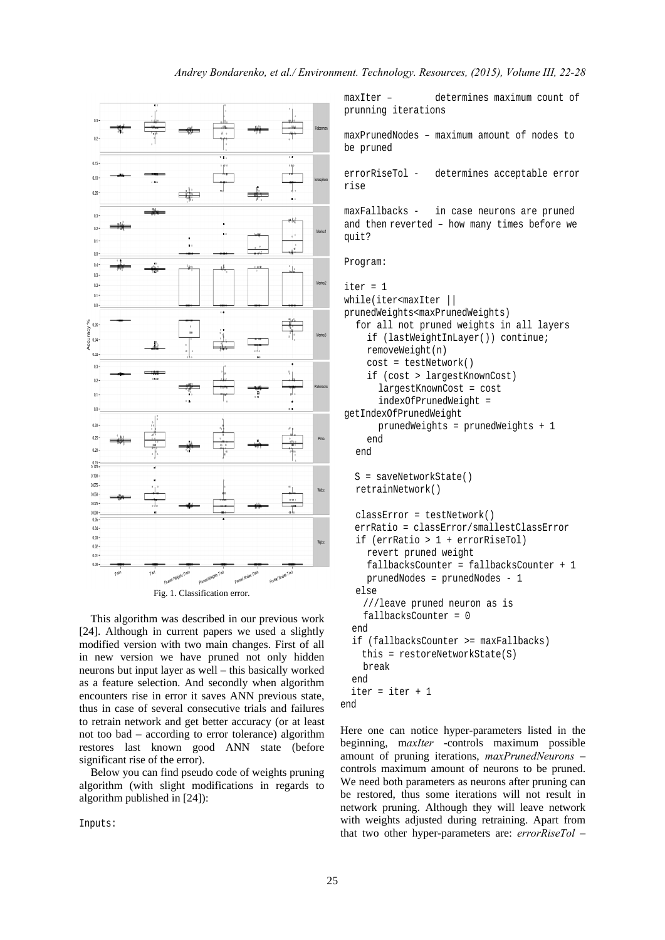

This algorithm was described in our previous work [24]. Although in current papers we used a slightly modified version with two main changes. First of all in new version we have pruned not only hidden neurons but input layer as well – this basically worked as a feature selection. And secondly when algorithm encounters rise in error it saves ANN previous state, thus in case of several consecutive trials and failures to retrain network and get better accuracy (or at least not too bad – according to error tolerance) algorithm restores last known good ANN state (before significant rise of the error).

Below you can find pseudo code of weights pruning algorithm (with slight modifications in regards to algorithm published in [24]):

Inputs:

maxIter – determines maximum count of prunning iterations

maxPrunedNodes – maximum amount of nodes to be pruned

errorRiseTol - determines acceptable error rise

maxFallbacks - in case neurons are pruned and then reverted – how many times before we quit?

```
Program:
```

```
iter = 1 
while(iter<maxIter || 
prunedWeights<maxPrunedWeights) 
    for all not pruned weights in all layers 
      if (lastWeightInLayer()) continue; 
      removeWeight(n) 
      cost = testNetwork() 
      if (cost > largestKnownCost) 
         largestKnownCost = cost 
         indexOfPrunedWeight = 
getIndexOfPrunedWeight 
        prunedWeights = prunedWeights + 1 
      end 
    end 
   S = saveNetworkState() 
   retrainNetwork() 
   classError = testNetwork() 
   errRatio = classError/smallestClassError 
    if (errRatio > 1 + errorRiseTol) 
      revert pruned weight 
      fallbacksCounter = fallbacksCounter + 1 
      prunedNodes = prunedNodes - 1 
    else 
     ///leave pruned neuron as is 
     fallbacksCounter = 0 
   end 
   if (fallbacksCounter >= maxFallbacks) 
     this = restoreNetworkState(S) 
     break 
   end 
   iter = iter + 1 
end
```
Here one can notice hyper-parameters listed in the beginning, m*axIter* -controls maximum possible amount of pruning iterations, *maxPrunedNeurons* – controls maximum amount of neurons to be pruned. We need both parameters as neurons after pruning can be restored, thus some iterations will not result in network pruning. Although they will leave network with weights adjusted during retraining. Apart from that two other hyper-parameters are: *errorRiseTol* –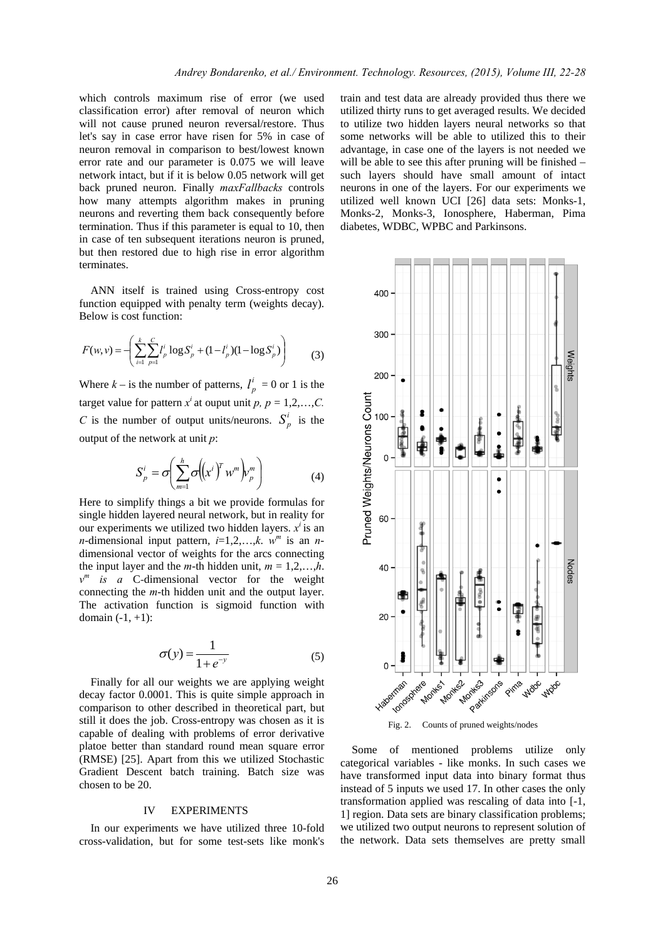which controls maximum rise of error (we used classification error) after removal of neuron which will not cause pruned neuron reversal/restore. Thus let's say in case error have risen for 5% in case of neuron removal in comparison to best/lowest known error rate and our parameter is 0.075 we will leave network intact, but if it is below 0.05 network will get back pruned neuron. Finally *maxFallbacks* controls how many attempts algorithm makes in pruning neurons and reverting them back consequently before termination. Thus if this parameter is equal to 10, then in case of ten subsequent iterations neuron is pruned, but then restored due to high rise in error algorithm terminates.

ANN itself is trained using Cross-entropy cost function equipped with penalty term (weights decay). Below is cost function:

$$
F(w,v) = \left(\sum_{i=1}^{k} \sum_{p=1}^{C} l_p^{i} \log S_p^{i} + (1 - l_p^{i})(1 - \log S_p^{i})\right)
$$
(3)

Where  $k -$  is the number of patterns,  $l_p^i = 0$  or 1 is the target value for pattern  $x^i$  at ouput unit p,  $p = 1, 2, \ldots, C$ . *C* is the number of output units/neurons.  $S_p^i$  is the output of the network at unit *p*:

$$
S_p^i = \sigma \left( \sum_{m=1}^h \sigma \left( \left( x^i \right)^T w^m \right) v_p^m \right) \tag{4}
$$

Here to simplify things a bit we provide formulas for single hidden layered neural network, but in reality for our experiments we utilized two hidden layers. *xi* is an *n*-dimensional input pattern,  $i=1,2,...,k$ .  $w^m$  is an *n*dimensional vector of weights for the arcs connecting the input layer and the *m*-th hidden unit,  $m = 1, 2, \ldots, h$ .  $v^m$  *is a* C-dimensional vector for the weight connecting the *m*-th hidden unit and the output layer. The activation function is sigmoid function with domain  $(-1, +1)$ :

$$
\sigma(y) = \frac{1}{1 + e^{-y}}\tag{5}
$$

Finally for all our weights we are applying weight decay factor 0.0001. This is quite simple approach in comparison to other described in theoretical part, but still it does the job. Cross-entropy was chosen as it is capable of dealing with problems of error derivative platoe better than standard round mean square error (RMSE) [25]. Apart from this we utilized Stochastic Gradient Descent batch training. Batch size was chosen to be 20.

#### IV EXPERIMENTS

In our experiments we have utilized three 10-fold cross-validation, but for some test-sets like monk's train and test data are already provided thus there we utilized thirty runs to get averaged results. We decided to utilize two hidden layers neural networks so that some networks will be able to utilized this to their advantage, in case one of the layers is not needed we will be able to see this after pruning will be finished – such layers should have small amount of intact neurons in one of the layers. For our experiments we utilized well known UCI [26] data sets: Monks-1, Monks-2, Monks-3, Ionosphere, Haberman, Pima diabetes, WDBC, WPBC and Parkinsons.



Some of mentioned problems utilize only categorical variables - like monks. In such cases we have transformed input data into binary format thus instead of 5 inputs we used 17. In other cases the only transformation applied was rescaling of data into [-1, 1] region. Data sets are binary classification problems; we utilized two output neurons to represent solution of the network. Data sets themselves are pretty small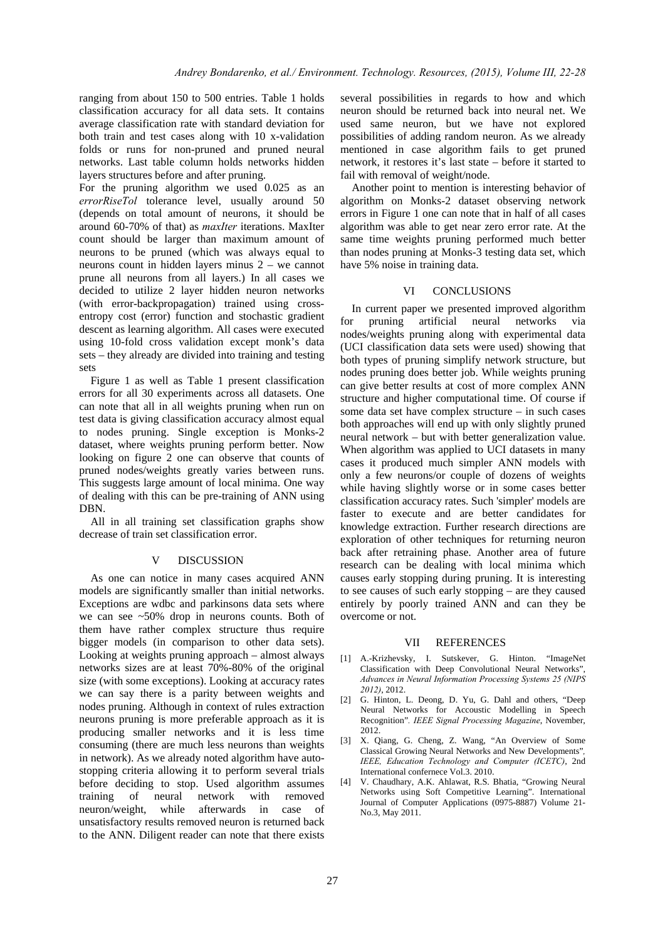ranging from about 150 to 500 entries. Table 1 holds classification accuracy for all data sets. It contains average classification rate with standard deviation for both train and test cases along with 10 x-validation folds or runs for non-pruned and pruned neural networks. Last table column holds networks hidden layers structures before and after pruning.

For the pruning algorithm we used 0.025 as an *errorRiseTol* tolerance level, usually around 50 (depends on total amount of neurons, it should be around 60-70% of that) as *maxIter* iterations. MaxIter count should be larger than maximum amount of neurons to be pruned (which was always equal to neurons count in hidden layers minus 2 – we cannot prune all neurons from all layers.) In all cases we decided to utilize 2 layer hidden neuron networks (with error-backpropagation) trained using crossentropy cost (error) function and stochastic gradient descent as learning algorithm. All cases were executed using 10-fold cross validation except monk's data sets – they already are divided into training and testing sets

 Figure 1 as well as Table 1 present classification errors for all 30 experiments across all datasets. One can note that all in all weights pruning when run on test data is giving classification accuracy almost equal to nodes pruning. Single exception is Monks-2 dataset, where weights pruning perform better. Now looking on figure 2 one can observe that counts of pruned nodes/weights greatly varies between runs. This suggests large amount of local minima. One way of dealing with this can be pre-training of ANN using DBN.

All in all training set classification graphs show decrease of train set classification error.

#### V DISCUSSION

As one can notice in many cases acquired ANN models are significantly smaller than initial networks. Exceptions are wdbc and parkinsons data sets where we can see ~50% drop in neurons counts. Both of them have rather complex structure thus require bigger models (in comparison to other data sets). Looking at weights pruning approach – almost always networks sizes are at least 70%-80% of the original size (with some exceptions). Looking at accuracy rates we can say there is a parity between weights and nodes pruning. Although in context of rules extraction neurons pruning is more preferable approach as it is producing smaller networks and it is less time consuming (there are much less neurons than weights in network). As we already noted algorithm have autostopping criteria allowing it to perform several trials before deciding to stop. Used algorithm assumes training of neural network with removed neuron/weight, while afterwards in case of unsatisfactory results removed neuron is returned back to the ANN. Diligent reader can note that there exists

several possibilities in regards to how and which neuron should be returned back into neural net. We used same neuron, but we have not explored possibilities of adding random neuron. As we already mentioned in case algorithm fails to get pruned network, it restores it's last state – before it started to fail with removal of weight/node.

Another point to mention is interesting behavior of algorithm on Monks-2 dataset observing network errors in Figure 1 one can note that in half of all cases algorithm was able to get near zero error rate. At the same time weights pruning performed much better than nodes pruning at Monks-3 testing data set, which have 5% noise in training data.

#### VI CONCLUSIONS

In current paper we presented improved algorithm for pruning artificial neural networks via nodes/weights pruning along with experimental data (UCI classification data sets were used) showing that both types of pruning simplify network structure, but nodes pruning does better job. While weights pruning can give better results at cost of more complex ANN structure and higher computational time. Of course if some data set have complex structure – in such cases both approaches will end up with only slightly pruned neural network – but with better generalization value. When algorithm was applied to UCI datasets in many cases it produced much simpler ANN models with only a few neurons/or couple of dozens of weights while having slightly worse or in some cases better classification accuracy rates. Such 'simpler' models are faster to execute and are better candidates for knowledge extraction. Further research directions are exploration of other techniques for returning neuron back after retraining phase. Another area of future research can be dealing with local minima which causes early stopping during pruning. It is interesting to see causes of such early stopping – are they caused entirely by poorly trained ANN and can they be overcome or not.

#### VII REFERENCES

- [1] A.-Krizhevsky, I. Sutskever, G. Hinton. "ImageNet Classification with Deep Convolutional Neural Networks", *Advances in Neural Information Processing Systems 25 (NIPS 2012)*, 2012.
- [2] G. Hinton, L. Deong, D. Yu, G. Dahl and others, "Deep Neural Networks for Accoustic Modelling in Speech Recognition"*. IEEE Signal Processing Magazine*, November,  $2012$
- [3] X. Qiang, G. Cheng, Z. Wang, "An Overview of Some Classical Growing Neural Networks and New Developments"*, IEEE, Education Technology and Computer (ICETC)*, 2nd International confernece Vol.3. 2010.
- [4] V. Chaudhary, A.K. Ahlawat, R.S. Bhatia, "Growing Neural Networks using Soft Competitive Learning". International Journal of Computer Applications (0975-8887) Volume 21- No.3, May 2011.